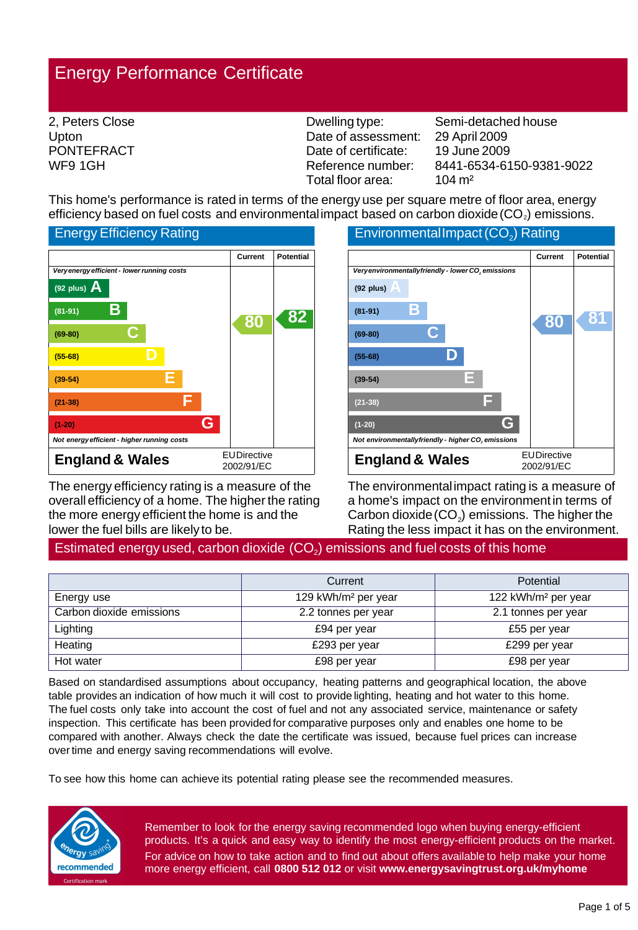# Energy Performance Certificate

| 2, Peters Close   | Dwelling type:       | Semi-de           |
|-------------------|----------------------|-------------------|
| Upton             | Date of assessment:  | 29 April          |
| <b>PONTEFRACT</b> | Date of certificate: | 19 June           |
| WF9 1GH           | Reference number:    | 8441-65           |
|                   | Total floor area:    | $104 \text{ m}^2$ |

etached house 2009 2009 84-6150-9381-9022 104 m²

This home's performance is rated in terms of the energy use per square metre of floor area, energy efficiency based on fuel costs and environmental impact based on carbon dioxide (CO<sub>2</sub>) emissions.



The energy efficiency rating is a measure of the overall efficiency of a home. The higher the rating the more energy efficient the home is and the lower the fuel bills are likely to be.



The environmental impact rating is a measure of a home's impact on the environment in terms of Carbon dioxide  $(CO<sub>2</sub>)$  emissions. The higher the Rating the less impact it has on the environment.

## Estimated energy used, carbon dioxide  $(CO<sub>2</sub>)$  emissions and fuel costs of this home

|                          | Current                         | Potential                       |
|--------------------------|---------------------------------|---------------------------------|
| Energy use               | 129 kWh/m <sup>2</sup> per year | 122 kWh/m <sup>2</sup> per year |
| Carbon dioxide emissions | 2.2 tonnes per year             | 2.1 tonnes per year             |
| Lighting                 | £94 per year                    | £55 per year                    |
| Heating                  | £293 per year                   | £299 per year                   |
| Hot water                | £98 per year                    | £98 per year                    |

Based on standardised assumptions about occupancy, heating patterns and geographical location, the above table provides an indication of how much it will cost to provide lighting, heating and hot water to this home. The fuel costs only take into account the cost of fuel and not any associated service, maintenance or safety inspection. This certificate has been provided for comparative purposes only and enables one home to be compared with another. Always check the date the certificate was issued, because fuel prices can increase over time and energy saving recommendations will evolve.

To see how this home can achieve its potential rating please see the recommended measures.



Remember to look for the energy saving recommended logo when buying energy-efficient products. It's a quick and easy way to identify the most energy-efficient products on the market. For advice on how to take action and to find out about offers available to help make your home more energy efficient, call **0800 512 012** or visit **www.energysavingtrust.org.uk/myhome**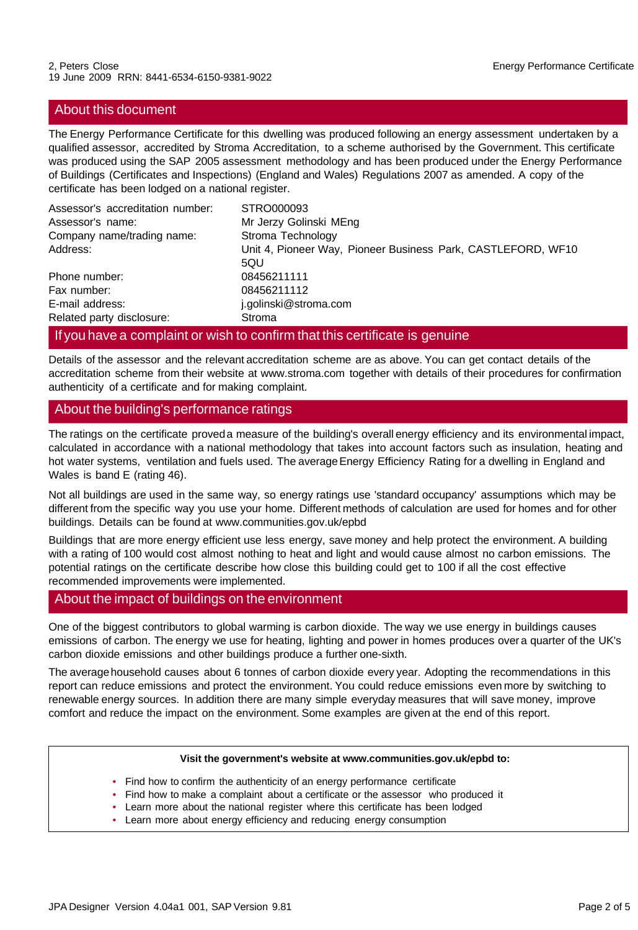## About this document

The Energy Performance Certificate for this dwelling was produced following an energy assessment undertaken by a qualified assessor, accredited by Stroma Accreditation, to a scheme authorised by the Government. This certificate was produced using the SAP 2005 assessment methodology and has been produced under the Energy Performance of Buildings (Certificates and Inspections) (England and Wales) Regulations 2007 as amended. A copy of the certificate has been lodged on a national register.

| Assessor's accreditation number: | STRO000093                                                   |
|----------------------------------|--------------------------------------------------------------|
| Assessor's name:                 | Mr Jerzy Golinski MEng                                       |
| Company name/trading name:       | Stroma Technology                                            |
| Address:                         | Unit 4, Pioneer Way, Pioneer Business Park, CASTLEFORD, WF10 |
|                                  | 5QU                                                          |
| Phone number:                    | 08456211111                                                  |
| Fax number:                      | 08456211112                                                  |
| E-mail address:                  | j.golinski@stroma.com                                        |
| Related party disclosure:        | Stroma                                                       |

#### If you have a complaint or wish to confirm that this certificate is genuine

Details of the assessor and the relevant accreditation scheme are as above. You can get contact details of the accreditation scheme from their website at www.stroma.com together with details of their procedures for confirmation authenticity of a certificate and for making complaint.

## About the building's performance ratings

The ratings on the certificate proved a measure of the building's overall energy efficiency and its environmental impact, calculated in accordance with a national methodology that takes into account factors such as insulation, heating and hot water systems, ventilation and fuels used. The average Energy Efficiency Rating for a dwelling in England and Wales is band E (rating 46).

Not all buildings are used in the same way, so energy ratings use 'standard occupancy' assumptions which may be different from the specific way you use your home. Different methods of calculation are used for homes and for other buildings. Details can be found at www.communities.gov.uk/epbd

Buildings that are more energy efficient use less energy, save money and help protect the environment. A building with a rating of 100 would cost almost nothing to heat and light and would cause almost no carbon emissions. The potential ratings on the certificate describe how close this building could get to 100 if all the cost effective recommended improvements were implemented.

### About the impact of buildings on the environment

One of the biggest contributors to global warming is carbon dioxide. The way we use energy in buildings causes emissions of carbon. The energy we use for heating, lighting and power in homes produces over a quarter of the UK's carbon dioxide emissions and other buildings produce a further one-sixth.

The average household causes about 6 tonnes of carbon dioxide every year. Adopting the recommendations in this report can reduce emissions and protect the environment. You could reduce emissions even more by switching to renewable energy sources. In addition there are many simple everyday measures that will save money, improve comfort and reduce the impact on the environment. Some examples are given at the end of this report.

#### **Visit the government's website at www.communities.gov.uk/epbd to:**

- Find how to confirm the authenticity of an energy performance certificate
- Find how to make a complaint about a certificate or the assessor who produced it
- Learn more about the national register where this certificate has been lodged
- Learn more about energy efficiency and reducing energy consumption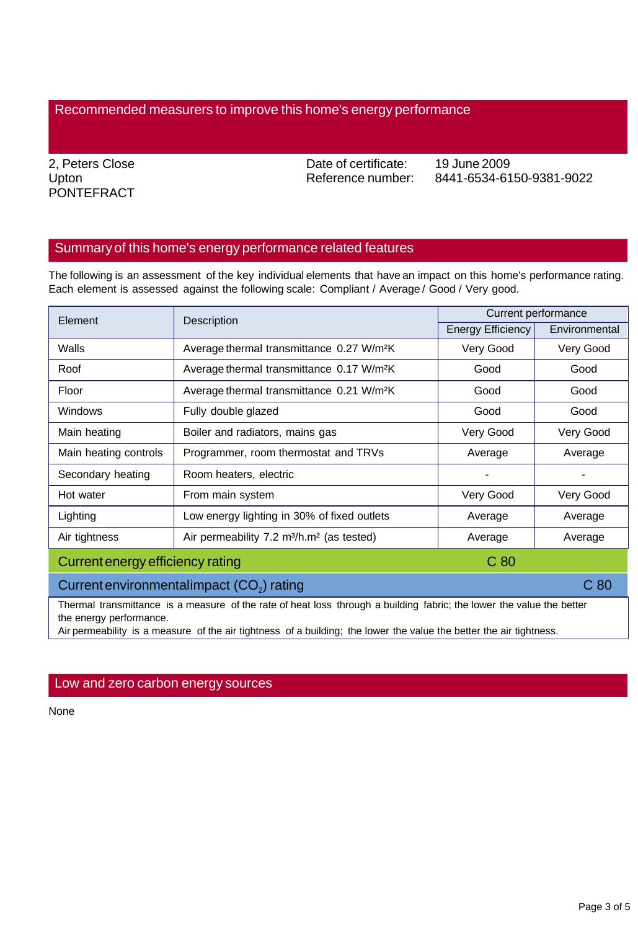## Recommended measurers to improve this home's energy performance

2, Peters Close Upton PONTEFRACT Date of certificate: Reference number:

19 June 2009 8441-6534-6150-9381-9022

## Summary of this home's energy performance related features

The following is an assessment of the key individual elements that have an impact on this home's performance rating. Each element is assessed against the following scale: Compliant / Average / Good / Very good.

| Element                                                                                                               | Description                                                       | Current performance |               |
|-----------------------------------------------------------------------------------------------------------------------|-------------------------------------------------------------------|---------------------|---------------|
|                                                                                                                       |                                                                   | Energy Efficiency   | Environmental |
| Walls                                                                                                                 | Average thermal transmittance 0.27 W/m <sup>2</sup> K             | Very Good           | Very Good     |
| Roof                                                                                                                  | Average thermal transmittance 0.17 W/m <sup>2</sup> K             | Good                | Good          |
| Floor                                                                                                                 | Average thermal transmittance 0.21 W/m <sup>2</sup> K             | Good                | Good          |
| <b>Windows</b>                                                                                                        | Fully double glazed                                               | Good                | Good          |
| Main heating                                                                                                          | Boiler and radiators, mains gas                                   | Very Good           | Very Good     |
| Main heating controls                                                                                                 | Programmer, room thermostat and TRVs                              | Average             | Average       |
| Secondary heating                                                                                                     | Room heaters, electric                                            |                     |               |
| Hot water                                                                                                             | From main system                                                  | Very Good           | Very Good     |
| Lighting                                                                                                              | Low energy lighting in 30% of fixed outlets                       | Average             | Average       |
| Air tightness                                                                                                         | Air permeability 7.2 m <sup>3</sup> /h.m <sup>2</sup> (as tested) | Average             | Average       |
| Current energy efficiency rating<br>C <sub>80</sub>                                                                   |                                                                   |                     |               |
| C <sub>80</sub><br>Current environmentalimpact (CO <sub>2</sub> ) rating                                              |                                                                   |                     |               |
| Thermal transmittance is a measure of the rate of heat loss through a building fabric; the lower the value the better |                                                                   |                     |               |

the energy performance.

Air permeability is a measure of the air tightness of a building; the lower the value the better the air tightness.

## Low and zero carbon energy sources

None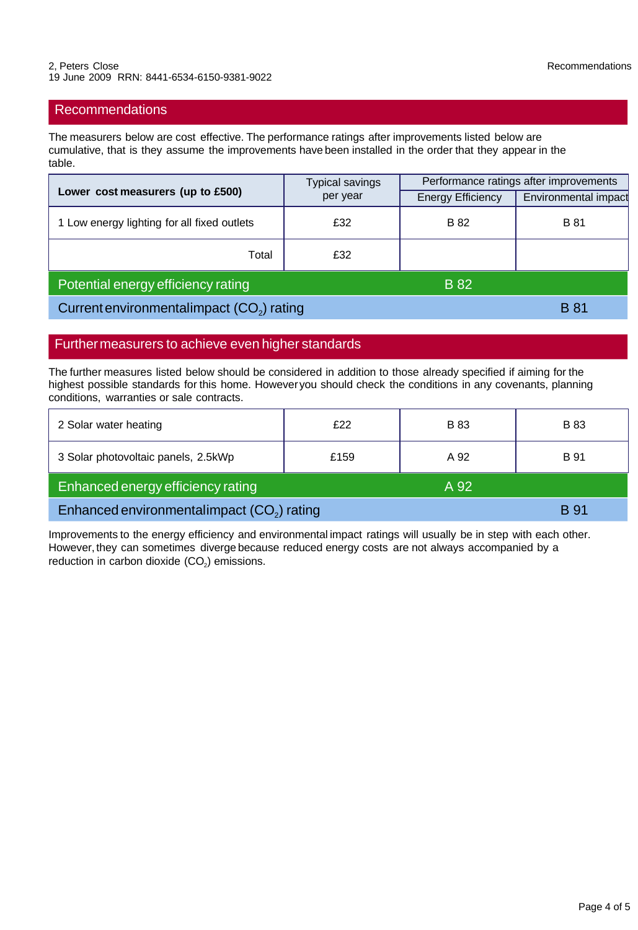## Recommendations

The measurers below are cost effective. The performance ratings after improvements listed below are cumulative, that is they assume the improvements have been installed in the order that they appear in the table.

| Lower cost measurers (up to £500)           | <b>Typical savings</b> | Performance ratings after improvements |                      |
|---------------------------------------------|------------------------|----------------------------------------|----------------------|
|                                             | per year               | <b>Energy Efficiency</b>               | Environmental impact |
| 1 Low energy lighting for all fixed outlets | £32                    | B 82                                   | <b>B</b> 81          |
| Total                                       | £32                    |                                        |                      |
| Potential energy efficiency rating          |                        | <b>B</b> 82                            |                      |
| Current environmental impact $(CO2)$ rating |                        | <b>B</b> 81                            |                      |

## Further measurers to achieve even higher standards

The further measures listed below should be considered in addition to those already specified if aiming for the highest possible standards for this home. However you should check the conditions in any covenants, planning conditions, warranties or sale contracts.

| 2 Solar water heating                                  | £22  | <b>B</b> 83 | <b>B</b> 83 |
|--------------------------------------------------------|------|-------------|-------------|
| 3 Solar photovoltaic panels, 2.5kWp                    | £159 | A 92        | <b>B</b> 91 |
| Enhanced energy efficiency rating                      |      | A 92        |             |
| Enhanced environmentalimpact (CO <sub>2</sub> ) rating |      |             | B 91        |

Improvements to the energy efficiency and environmental impact ratings will usually be in step with each other. However, they can sometimes diverge because reduced energy costs are not always accompanied by a reduction in carbon dioxide (CO<sub>2</sub>) emissions.